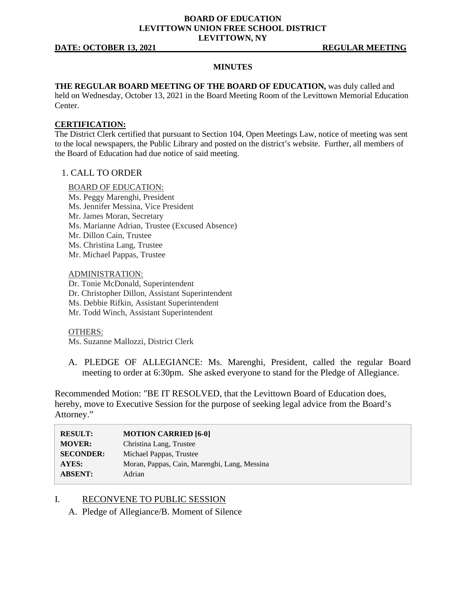### **BOARD OF EDUCATION LEVITTOWN UNION FREE SCHOOL DISTRICT LEVITTOWN, NY**

#### **DATE: OCTOBER 13, 2021 REGULAR MEETING**

#### **MINUTES**

### **THE REGULAR BOARD MEETING OF THE BOARD OF EDUCATION,** was duly called and

held on Wednesday, October 13, 2021 in the Board Meeting Room of the Levittown Memorial Education Center.

#### **CERTIFICATION:**

The District Clerk certified that pursuant to Section 104, Open Meetings Law, notice of meeting was sent to the local newspapers, the Public Library and posted on the district's website. Further, all members of the Board of Education had due notice of said meeting.

## 1. CALL TO ORDER

#### BOARD OF EDUCATION:

Ms. Peggy Marenghi, President Ms. Jennifer Messina, Vice President Mr. James Moran, Secretary Ms. Marianne Adrian, Trustee (Excused Absence) Mr. Dillon Cain, Trustee Ms. Christina Lang, Trustee Mr. Michael Pappas, Trustee

ADMINISTRATION: Dr. Tonie McDonald, Superintendent Dr. Christopher Dillon, Assistant Superintendent Ms. Debbie Rifkin, Assistant Superintendent Mr. Todd Winch, Assistant Superintendent

OTHERS:

Ms. Suzanne Mallozzi, District Clerk

A. PLEDGE OF ALLEGIANCE: Ms. Marenghi, President, called the regular Board meeting to order at 6:30pm. She asked everyone to stand for the Pledge of Allegiance.

Recommended Motion: "BE IT RESOLVED, that the Levittown Board of Education does, hereby, move to Executive Session for the purpose of seeking legal advice from the Board's Attorney."

| <b>RESULT:</b>   | <b>MOTION CARRIED [6-0]</b>                  |
|------------------|----------------------------------------------|
| <b>MOVER:</b>    | Christina Lang, Trustee                      |
| <b>SECONDER:</b> | Michael Pappas, Trustee                      |
| <b>AYES:</b>     | Moran, Pappas, Cain, Marenghi, Lang, Messina |
| <b>ABSENT:</b>   | Adrian                                       |

### I. RECONVENE TO PUBLIC SESSION

A. Pledge of Allegiance/B. Moment of Silence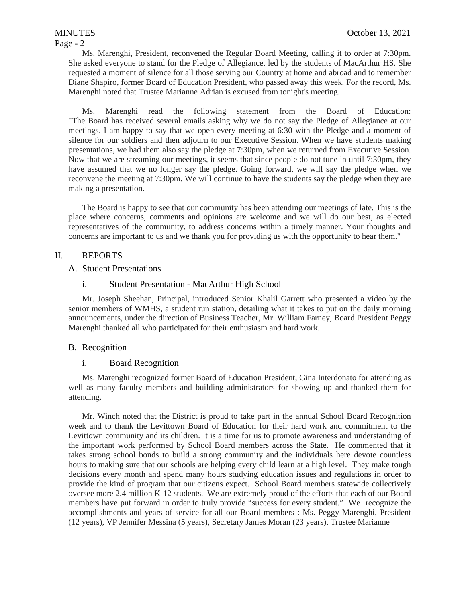# Ms. Marenghi, President, reconvened the Regular Board Meeting, calling it to order at 7:30pm. She asked everyone to stand for the Pledge of Allegiance, led by the students of MacArthur HS. She requested a moment of silence for all those serving our Country at home and abroad and to remember Diane Shapiro, former Board of Education President, who passed away this week. For the record, Ms. Marenghi noted that Trustee Marianne Adrian is excused from tonight's meeting.

Ms. Marenghi read the following statement from the Board of Education: "The Board has received several emails asking why we do not say the Pledge of Allegiance at our meetings. I am happy to say that we open every meeting at 6:30 with the Pledge and a moment of silence for our soldiers and then adjourn to our Executive Session. When we have students making presentations, we had them also say the pledge at 7:30pm, when we returned from Executive Session. Now that we are streaming our meetings, it seems that since people do not tune in until 7:30pm, they have assumed that we no longer say the pledge. Going forward, we will say the pledge when we reconvene the meeting at 7:30pm. We will continue to have the students say the pledge when they are making a presentation.

The Board is happy to see that our community has been attending our meetings of late. This is the place where concerns, comments and opinions are welcome and we will do our best, as elected representatives of the community, to address concerns within a timely manner. Your thoughts and concerns are important to us and we thank you for providing us with the opportunity to hear them."

# II. REPORTS

# A. Student Presentations

# i. Student Presentation - MacArthur High School

Mr. Joseph Sheehan, Principal, introduced Senior Khalil Garrett who presented a video by the senior members of WMHS, a student run station, detailing what it takes to put on the daily morning announcements, under the direction of Business Teacher, Mr. William Farney, Board President Peggy Marenghi thanked all who participated for their enthusiasm and hard work.

# B. Recognition

### i. Board Recognition

Ms. Marenghi recognized former Board of Education President, Gina Interdonato for attending as well as many faculty members and building administrators for showing up and thanked them for attending.

Mr. Winch noted that the District is proud to take part in the annual School Board Recognition week and to thank the Levittown Board of Education for their hard work and commitment to the Levittown community and its children. It is a time for us to promote awareness and understanding of the important work performed by School Board members across the State. He commented that it takes strong school bonds to build a strong community and the individuals here devote countless hours to making sure that our schools are helping every child learn at a high level. They make tough decisions every month and spend many hours studying education issues and regulations in order to provide the kind of program that our citizens expect. School Board members statewide collectively oversee more 2.4 million K-12 students. We are extremely proud of the efforts that each of our Board members have put forward in order to truly provide "success for every student." We recognize the accomplishments and years of service for all our Board members : Ms. Peggy Marenghi, President (12 years), VP Jennifer Messina (5 years), Secretary James Moran (23 years), Trustee Marianne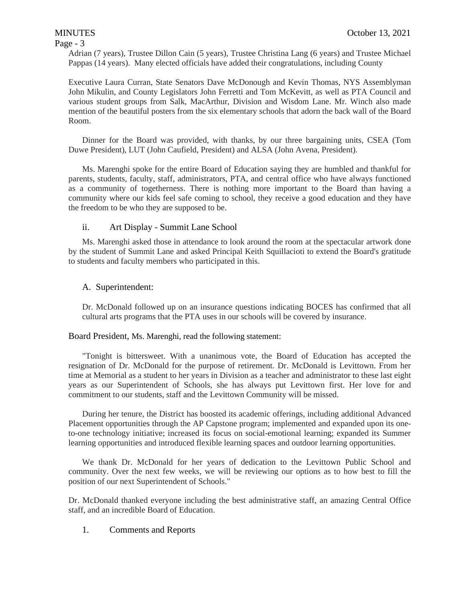## Page - 3

Adrian (7 years), Trustee Dillon Cain (5 years), Trustee Christina Lang (6 years) and Trustee Michael Pappas (14 years). Many elected officials have added their congratulations, including County

Executive Laura Curran, State Senators Dave McDonough and Kevin Thomas, NYS Assemblyman John Mikulin, and County Legislators John Ferretti and Tom McKevitt, as well as PTA Council and various student groups from Salk, MacArthur, Division and Wisdom Lane. Mr. Winch also made mention of the beautiful posters from the six elementary schools that adorn the back wall of the Board Room.

Dinner for the Board was provided, with thanks, by our three bargaining units, CSEA (Tom Duwe President), LUT (John Caufield, President) and ALSA (John Avena, President).

Ms. Marenghi spoke for the entire Board of Education saying they are humbled and thankful for parents, students, faculty, staff, administrators, PTA, and central office who have always functioned as a community of togetherness. There is nothing more important to the Board than having a community where our kids feel safe coming to school, they receive a good education and they have the freedom to be who they are supposed to be.

# ii. Art Display - Summit Lane School

Ms. Marenghi asked those in attendance to look around the room at the spectacular artwork done by the student of Summit Lane and asked Principal Keith Squillacioti to extend the Board's gratitude to students and faculty members who participated in this.

# A. Superintendent:

Dr. McDonald followed up on an insurance questions indicating BOCES has confirmed that all cultural arts programs that the PTA uses in our schools will be covered by insurance.

### Board President, Ms. Marenghi, read the following statement:

"Tonight is bittersweet. With a unanimous vote, the Board of Education has accepted the resignation of Dr. McDonald for the purpose of retirement. Dr. McDonald is Levittown. From her time at Memorial as a student to her years in Division as a teacher and administrator to these last eight years as our Superintendent of Schools, she has always put Levittown first. Her love for and commitment to our students, staff and the Levittown Community will be missed.

During her tenure, the District has boosted its academic offerings, including additional Advanced Placement opportunities through the AP Capstone program; implemented and expanded upon its oneto-one technology initiative; increased its focus on social-emotional learning; expanded its Summer learning opportunities and introduced flexible learning spaces and outdoor learning opportunities.

We thank Dr. McDonald for her years of dedication to the Levittown Public School and community. Over the next few weeks, we will be reviewing our options as to how best to fill the position of our next Superintendent of Schools."

Dr. McDonald thanked everyone including the best administrative staff, an amazing Central Office staff, and an incredible Board of Education.

1. Comments and Reports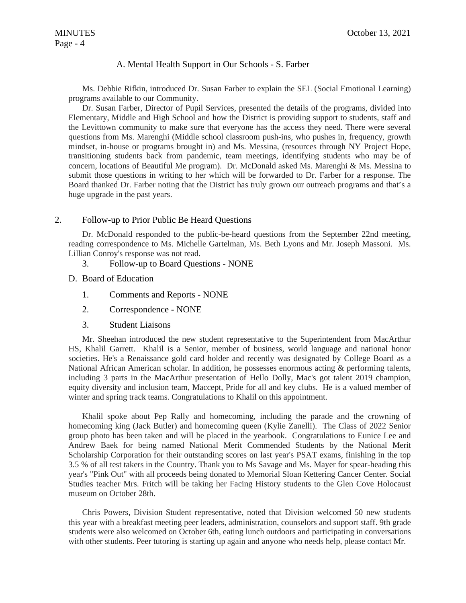# A. Mental Health Support in Our Schools - S. Farber

Ms. Debbie Rifkin, introduced Dr. Susan Farber to explain the SEL (Social Emotional Learning) programs available to our Community.

Dr. Susan Farber, Director of Pupil Services, presented the details of the programs, divided into Elementary, Middle and High School and how the District is providing support to students, staff and the Levittown community to make sure that everyone has the access they need. There were several questions from Ms. Marenghi (Middle school classroom push-ins, who pushes in, frequency, growth mindset, in-house or programs brought in) and Ms. Messina, (resources through NY Project Hope, transitioning students back from pandemic, team meetings, identifying students who may be of concern, locations of Beautiful Me program). Dr. McDonald asked Ms. Marenghi & Ms. Messina to submit those questions in writing to her which will be forwarded to Dr. Farber for a response. The Board thanked Dr. Farber noting that the District has truly grown our outreach programs and that's a huge upgrade in the past years.

### 2. Follow-up to Prior Public Be Heard Questions

Dr. McDonald responded to the public-be-heard questions from the September 22nd meeting, reading correspondence to Ms. Michelle Gartelman, Ms. Beth Lyons and Mr. Joseph Massoni. Ms. Lillian Conroy's response was not read.

- 3. Follow-up to Board Questions NONE
- D. Board of Education
	- 1. Comments and Reports NONE
	- 2. Correspondence NONE
	- 3. Student Liaisons

Mr. Sheehan introduced the new student representative to the Superintendent from MacArthur HS, Khalil Garrett. Khalil is a Senior, member of business, world language and national honor societies. He's a Renaissance gold card holder and recently was designated by College Board as a National African American scholar. In addition, he possesses enormous acting & performing talents, including 3 parts in the MacArthur presentation of Hello Dolly, Mac's got talent 2019 champion, equity diversity and inclusion team, Maccept, Pride for all and key clubs. He is a valued member of winter and spring track teams. Congratulations to Khalil on this appointment.

Khalil spoke about Pep Rally and homecoming, including the parade and the crowning of homecoming king (Jack Butler) and homecoming queen (Kylie Zanelli). The Class of 2022 Senior group photo has been taken and will be placed in the yearbook. Congratulations to Eunice Lee and Andrew Baek for being named National Merit Commended Students by the National Merit Scholarship Corporation for their outstanding scores on last year's PSAT exams, finishing in the top 3.5 % of all test takers in the Country. Thank you to Ms Savage and Ms. Mayer for spear-heading this year's "Pink Out" with all proceeds being donated to Memorial Sloan Kettering Cancer Center. Social Studies teacher Mrs. Fritch will be taking her Facing History students to the Glen Cove Holocaust museum on October 28th.

Chris Powers, Division Student representative, noted that Division welcomed 50 new students this year with a breakfast meeting peer leaders, administration, counselors and support staff. 9th grade students were also welcomed on October 6th, eating lunch outdoors and participating in conversations with other students. Peer tutoring is starting up again and anyone who needs help, please contact Mr.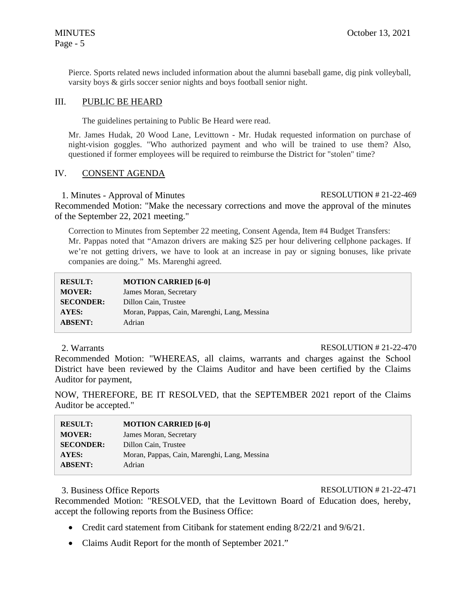Pierce. Sports related news included information about the alumni baseball game, dig pink volleyball, varsity boys & girls soccer senior nights and boys football senior night.

# III. PUBLIC BE HEARD

The guidelines pertaining to Public Be Heard were read.

Mr. James Hudak, 20 Wood Lane, Levittown - Mr. Hudak requested information on purchase of night-vision goggles. "Who authorized payment and who will be trained to use them? Also, questioned if former employees will be required to reimburse the District for "stolen" time?

### IV. CONSENT AGENDA

1. Minutes - Approval of Minutes RESOLUTION # 21-22-469

Recommended Motion: "Make the necessary corrections and move the approval of the minutes of the September 22, 2021 meeting."

Correction to Minutes from September 22 meeting, Consent Agenda, Item #4 Budget Transfers: Mr. Pappas noted that "Amazon drivers are making \$25 per hour delivering cellphone packages. If we're not getting drivers, we have to look at an increase in pay or signing bonuses, like private companies are doing." Ms. Marenghi agreed.

| <b>RESULT:</b>   | <b>MOTION CARRIED [6-0]</b>                  |
|------------------|----------------------------------------------|
| <b>MOVER:</b>    | James Moran, Secretary                       |
| <b>SECONDER:</b> | Dillon Cain, Trustee                         |
| AYES:            | Moran, Pappas, Cain, Marenghi, Lang, Messina |
| <b>ABSENT:</b>   | Adrian                                       |

### 2. Warrants RESOLUTION # 21-22-470

Recommended Motion: "WHEREAS, all claims, warrants and charges against the School District have been reviewed by the Claims Auditor and have been certified by the Claims Auditor for payment,

NOW, THEREFORE, BE IT RESOLVED, that the SEPTEMBER 2021 report of the Claims Auditor be accepted."

| <b>RESULT:</b>   | <b>MOTION CARRIED [6-0]</b>                  |
|------------------|----------------------------------------------|
| <b>MOVER:</b>    | James Moran, Secretary                       |
| <b>SECONDER:</b> | Dillon Cain, Trustee                         |
| <b>AYES:</b>     | Moran, Pappas, Cain, Marenghi, Lang, Messina |
| <b>ABSENT:</b>   | Adrian                                       |

## 3. Business Office Reports RESOLUTION # 21-22-471

Recommended Motion: "RESOLVED, that the Levittown Board of Education does, hereby, accept the following reports from the Business Office:

- Credit card statement from Citibank for statement ending 8/22/21 and 9/6/21.
- Claims Audit Report for the month of September 2021."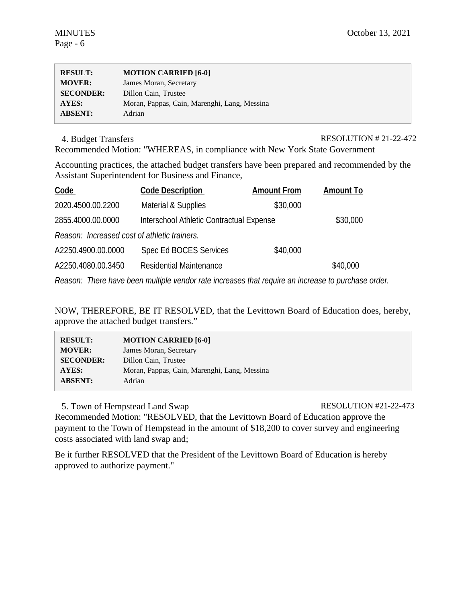| <b>RESULT:</b>   | <b>MOTION CARRIED [6-0]</b>                  |
|------------------|----------------------------------------------|
| <b>MOVER:</b>    | James Moran, Secretary                       |
| <b>SECONDER:</b> | Dillon Cain, Trustee                         |
| AYES:            | Moran, Pappas, Cain, Marenghi, Lang, Messina |
| <b>ABSENT:</b>   | Adrian                                       |

4. Budget Transfers RESOLUTION # 21-22-472

Recommended Motion: "WHEREAS, in compliance with New York State Government

Accounting practices, the attached budget transfers have been prepared and recommended by the Assistant Superintendent for Business and Finance,

| Code                                         | <b>Code Description</b>                  | <b>Amount From</b> | <b>Amount To</b> |
|----------------------------------------------|------------------------------------------|--------------------|------------------|
| 2020.4500.00.2200                            | Material & Supplies                      | \$30,000           |                  |
| 2855.4000.00.0000                            | Interschool Athletic Contractual Expense |                    | \$30,000         |
| Reason: Increased cost of athletic trainers. |                                          |                    |                  |
| A2250.4900.00.0000                           | Spec Ed BOCES Services                   | \$40,000           |                  |
| A2250.4080.00.3450                           | Residential Maintenance                  |                    | \$40,000         |

*Reason: There have been multiple vendor rate increases that require an increase to purchase order.* 

NOW, THEREFORE, BE IT RESOLVED, that the Levittown Board of Education does, hereby, approve the attached budget transfers."

| <b>RESULT:</b>   | <b>MOTION CARRIED [6-0]</b>                  |
|------------------|----------------------------------------------|
| <b>MOVER:</b>    | James Moran, Secretary                       |
| <b>SECONDER:</b> | Dillon Cain, Trustee                         |
| AYES:            | Moran, Pappas, Cain, Marenghi, Lang, Messina |
| <b>ABSENT:</b>   | Adrian                                       |
|                  |                                              |

5. Town of Hempstead Land Swap RESOLUTION #21-22-473 Recommended Motion: "RESOLVED, that the Levittown Board of Education approve the payment to the Town of Hempstead in the amount of \$18,200 to cover survey and engineering costs associated with land swap and;

Be it further RESOLVED that the President of the Levittown Board of Education is hereby approved to authorize payment."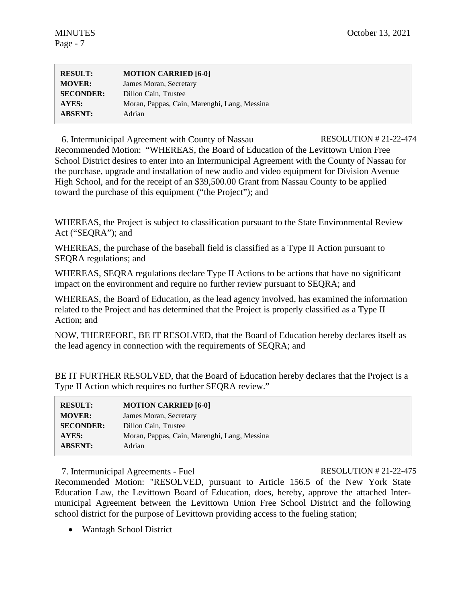| <b>RESULT:</b>   | <b>MOTION CARRIED [6-0]</b>                  |
|------------------|----------------------------------------------|
| <b>MOVER:</b>    | James Moran, Secretary                       |
| <b>SECONDER:</b> | Dillon Cain, Trustee                         |
| <b>AYES:</b>     | Moran, Pappas, Cain, Marenghi, Lang, Messina |
| <b>ABSENT:</b>   | Adrian                                       |

6. Intermunicipal Agreement with County of Nassau RESOLUTION # 21-22-474 Recommended Motion: "WHEREAS, the Board of Education of the Levittown Union Free School District desires to enter into an Intermunicipal Agreement with the County of Nassau for the purchase, upgrade and installation of new audio and video equipment for Division Avenue High School, and for the receipt of an \$39,500.00 Grant from Nassau County to be applied toward the purchase of this equipment ("the Project"); and

WHEREAS, the Project is subject to classification pursuant to the State Environmental Review Act ("SEQRA"); and

WHEREAS, the purchase of the baseball field is classified as a Type II Action pursuant to SEQRA regulations; and

WHEREAS, SEQRA regulations declare Type II Actions to be actions that have no significant impact on the environment and require no further review pursuant to SEQRA; and

WHEREAS, the Board of Education, as the lead agency involved, has examined the information related to the Project and has determined that the Project is properly classified as a Type II Action; and

NOW, THEREFORE, BE IT RESOLVED, that the Board of Education hereby declares itself as the lead agency in connection with the requirements of SEQRA; and

BE IT FURTHER RESOLVED, that the Board of Education hereby declares that the Project is a Type II Action which requires no further SEQRA review."

| <b>RESULT:</b>   | <b>MOTION CARRIED [6-0]</b>                  |
|------------------|----------------------------------------------|
| <b>MOVER:</b>    | James Moran, Secretary                       |
| <b>SECONDER:</b> | Dillon Cain, Trustee                         |
| <b>AYES:</b>     | Moran, Pappas, Cain, Marenghi, Lang, Messina |
| <b>ABSENT:</b>   | Adrian                                       |

7. Intermunicipal Agreements - Fuel RESOLUTION # 21-22-475

Recommended Motion: "RESOLVED, pursuant to Article 156.5 of the New York State Education Law, the Levittown Board of Education, does, hereby, approve the attached Intermunicipal Agreement between the Levittown Union Free School District and the following school district for the purpose of Levittown providing access to the fueling station;

• Wantagh School District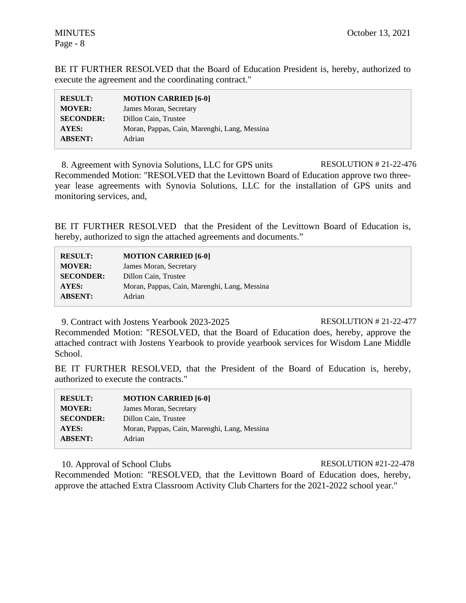BE IT FURTHER RESOLVED that the Board of Education President is, hereby, authorized to execute the agreement and the coordinating contract."

| <b>RESULT:</b>   | <b>MOTION CARRIED [6-0]</b>                  |
|------------------|----------------------------------------------|
| <b>MOVER:</b>    | James Moran, Secretary                       |
| <b>SECONDER:</b> | Dillon Cain, Trustee                         |
| AYES:            | Moran, Pappas, Cain, Marenghi, Lang, Messina |
| <b>ABSENT:</b>   | Adrian                                       |

8. Agreement with Synovia Solutions, LLC for GPS units RESOLUTION # 21-22-476 Recommended Motion: "RESOLVED that the Levittown Board of Education approve two threeyear lease agreements with Synovia Solutions, LLC for the installation of GPS units and monitoring services, and,

BE IT FURTHER RESOLVED that the President of the Levittown Board of Education is, hereby, authorized to sign the attached agreements and documents."

| <b>RESULT:</b>   | <b>MOTION CARRIED [6-0]</b>                  |
|------------------|----------------------------------------------|
| <b>MOVER:</b>    | James Moran, Secretary                       |
| <b>SECONDER:</b> | Dillon Cain, Trustee                         |
| AYES:            | Moran, Pappas, Cain, Marenghi, Lang, Messina |
| <b>ABSENT:</b>   | Adrian                                       |

9. Contract with Jostens Yearbook 2023-2025 RESOLUTION # 21-22-477

Recommended Motion: "RESOLVED, that the Board of Education does, hereby, approve the attached contract with Jostens Yearbook to provide yearbook services for Wisdom Lane Middle School.

BE IT FURTHER RESOLVED, that the President of the Board of Education is, hereby, authorized to execute the contracts."

| <b>RESULT:</b>   | <b>MOTION CARRIED [6-0]</b>                  |
|------------------|----------------------------------------------|
| <b>MOVER:</b>    | James Moran, Secretary                       |
| <b>SECONDER:</b> | Dillon Cain, Trustee                         |
| AYES:            | Moran, Pappas, Cain, Marenghi, Lang, Messina |
| <b>ABSENT:</b>   | Adrian                                       |

10. Approval of School Clubs RESOLUTION #21-22-478

Recommended Motion: "RESOLVED, that the Levittown Board of Education does, hereby, approve the attached Extra Classroom Activity Club Charters for the 2021-2022 school year."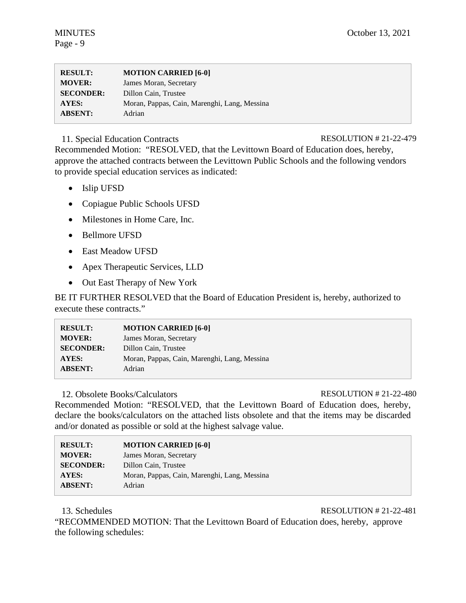| <b>RESULT:</b>   | <b>MOTION CARRIED [6-0]</b>                  |
|------------------|----------------------------------------------|
| <b>MOVER:</b>    | James Moran, Secretary                       |
| <b>SECONDER:</b> | Dillon Cain, Trustee                         |
| AYES:            | Moran, Pappas, Cain, Marenghi, Lang, Messina |
| <b>ABSENT:</b>   | Adrian                                       |

# 11. Special Education Contracts RESOLUTION # 21-22-479

Recommended Motion: "RESOLVED, that the Levittown Board of Education does, hereby, approve the attached contracts between the Levittown Public Schools and the following vendors to provide special education services as indicated:

- Islip UFSD
- Copiague Public Schools UFSD
- Milestones in Home Care, Inc.
- Bellmore UFSD
- East Meadow UFSD
- Apex Therapeutic Services, LLD
- Out East Therapy of New York

BE IT FURTHER RESOLVED that the Board of Education President is, hereby, authorized to execute these contracts."

| <b>RESULT:</b>   | <b>MOTION CARRIED [6-0]</b>                  |
|------------------|----------------------------------------------|
| <b>MOVER:</b>    | James Moran, Secretary                       |
| <b>SECONDER:</b> | Dillon Cain, Trustee                         |
| AYES:            | Moran, Pappas, Cain, Marenghi, Lang, Messina |
| <b>ABSENT:</b>   | Adrian                                       |

# 12. Obsolete Books/Calculators RESOLUTION # 21-22-480

Recommended Motion: "RESOLVED, that the Levittown Board of Education does, hereby, declare the books/calculators on the attached lists obsolete and that the items may be discarded and/or donated as possible or sold at the highest salvage value.

| <b>RESULT:</b>   | <b>MOTION CARRIED [6-0]</b>                  |
|------------------|----------------------------------------------|
| <b>MOVER:</b>    | James Moran, Secretary                       |
| <b>SECONDER:</b> | Dillon Cain, Trustee                         |
| AYES:            | Moran, Pappas, Cain, Marenghi, Lang, Messina |
| <b>ABSENT:</b>   | Adrian                                       |

13. Schedules RESOLUTION # 21-22-481

"RECOMMENDED MOTION: That the Levittown Board of Education does, hereby, approve the following schedules: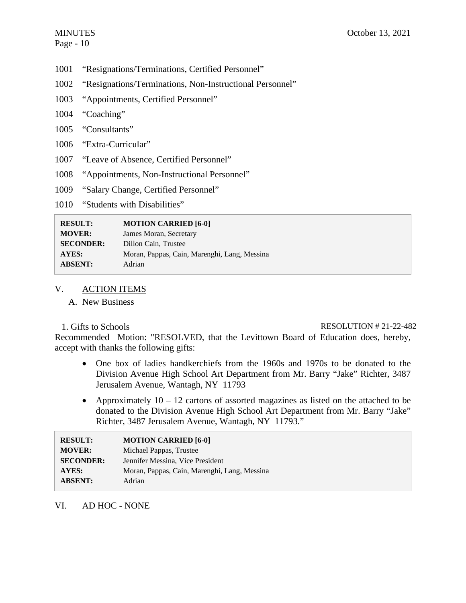- 1001 "Resignations/Terminations, Certified Personnel"
- 1002 "Resignations/Terminations, Non-Instructional Personnel"
- 1003 "Appointments, Certified Personnel"
- 1004 "Coaching"
- 1005 "Consultants"
- 1006 "Extra-Curricular"
- 1007 "Leave of Absence, Certified Personnel"
- 1008 "Appointments, Non-Instructional Personnel"
- 1009 "Salary Change, Certified Personnel"
- 1010 "Students with Disabilities"

| <b>RESULT:</b>   | <b>MOTION CARRIED [6-0]</b>                  |
|------------------|----------------------------------------------|
| <b>MOVER:</b>    | James Moran, Secretary                       |
| <b>SECONDER:</b> | Dillon Cain, Trustee                         |
| <b>AYES:</b>     | Moran, Pappas, Cain, Marenghi, Lang, Messina |
| <b>ABSENT:</b>   | Adrian                                       |
|                  |                                              |

# V. ACTION ITEMS

A. New Business

# 1. Gifts to Schools RESOLUTION # 21-22-482

Recommended Motion: "RESOLVED, that the Levittown Board of Education does, hereby, accept with thanks the following gifts:

- One box of ladies handkerchiefs from the 1960s and 1970s to be donated to the Division Avenue High School Art Department from Mr. Barry "Jake" Richter, 3487 Jerusalem Avenue, Wantagh, NY 11793
- Approximately  $10 12$  cartons of assorted magazines as listed on the attached to be donated to the Division Avenue High School Art Department from Mr. Barry "Jake" Richter, 3487 Jerusalem Avenue, Wantagh, NY 11793."

| <b>RESULT:</b>   | <b>MOTION CARRIED [6-0]</b>                  |
|------------------|----------------------------------------------|
| <b>MOVER:</b>    | Michael Pappas, Trustee                      |
| <b>SECONDER:</b> | Jennifer Messina, Vice President             |
| AYES:            | Moran, Pappas, Cain, Marenghi, Lang, Messina |
| <b>ABSENT:</b>   | Adrian                                       |

# VI. AD HOC - NONE